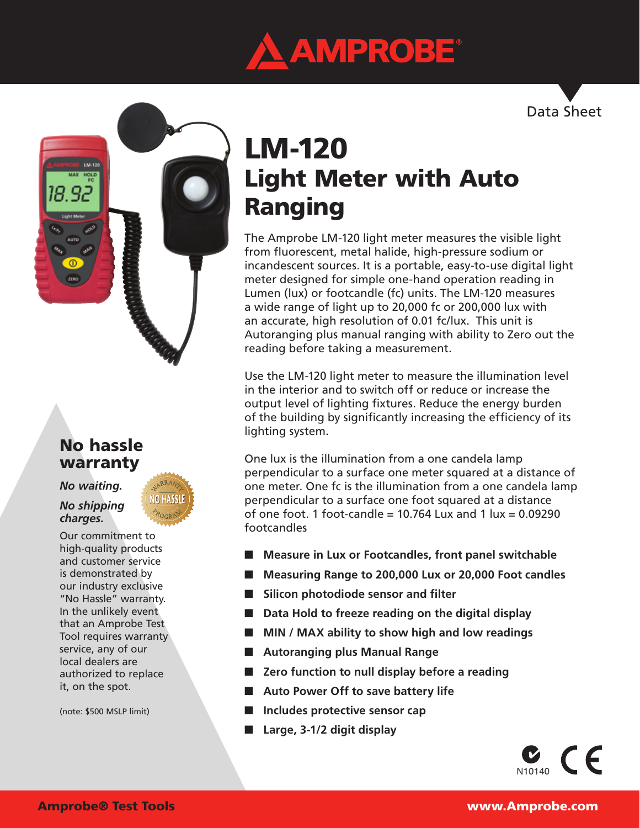



# No hassle warranty

### *No waiting.*

#### *No shipping charges.*

Our commitment to high-quality products and customer service is demonstrated by our industry exclusive "No Hassle" warranty. In the unlikely event that an Amprobe Test Tool requires warranty service, any of our local dealers are authorized to replace it, on the spot.

(note: \$500 MSLP limit)

# LM-120 Light Meter with Auto Ranging

The Amprobe LM-120 light meter measures the visible light from fluorescent, metal halide, high-pressure sodium or incandescent sources. It is a portable, easy-to-use digital light meter designed for simple one-hand operation reading in Lumen (lux) or footcandle (fc) units. The LM-120 measures a wide range of light up to 20,000 fc or 200,000 lux with an accurate, high resolution of 0.01 fc/lux. This unit is Autoranging plus manual ranging with ability to Zero out the reading before taking a measurement.

Use the LM-120 light meter to measure the illumination level in the interior and to switch off or reduce or increase the output level of lighting fixtures. Reduce the energy burden of the building by significantly increasing the efficiency of its lighting system.

One lux is the illumination from a one candela lamp perpendicular to a surface one meter squared at a distance of one meter. One fc is the illumination from a one candela lamp perpendicular to a surface one foot squared at a distance of one foot. 1 foot-candle  $= 10.764$  Lux and 1 lux  $= 0.09290$ footcandles

- Measure in Lux or Footcandles, front panel switchable
- Measuring Range to 200,000 Lux or 20,000 Foot candles
- Silicon photodiode sensor and filter
- **Data Hold to freeze reading on the digital display**
- **MIN / MAX ability to show high and low readings**
- **Autoranging plus Manual Range**
- **Zero function to null display before a reading**
- Auto Power Off to save battery life
- **Includes protective sensor cap**
- Large, 3-1/2 digit display